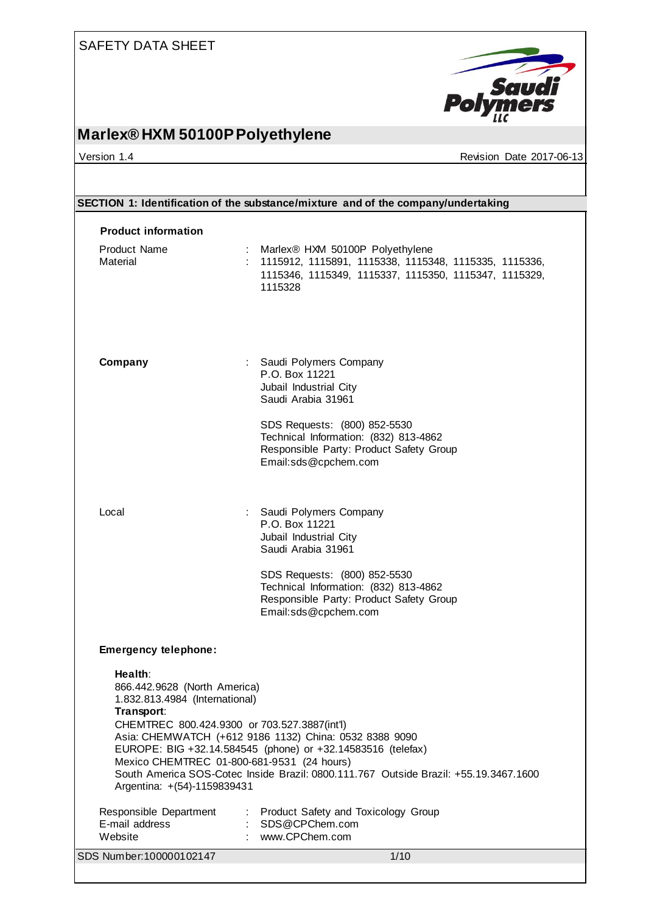

## **Marlex® HXM 50100P Polyethylene**

Version 1.4 Revision Date 2017-06-13

|                                                                                                                                                                                                                                                                                                            | SECTION 1: Identification of the substance/mixture and of the company/undertaking                                                                                                                                                                                                                 |  |  |  |
|------------------------------------------------------------------------------------------------------------------------------------------------------------------------------------------------------------------------------------------------------------------------------------------------------------|---------------------------------------------------------------------------------------------------------------------------------------------------------------------------------------------------------------------------------------------------------------------------------------------------|--|--|--|
| <b>Product information</b>                                                                                                                                                                                                                                                                                 |                                                                                                                                                                                                                                                                                                   |  |  |  |
| <b>Product Name</b><br>Material                                                                                                                                                                                                                                                                            | : Marlex® HXM 50100P Polyethylene<br>: 1115912, 1115891, 1115338, 1115348, 1115335, 1115336,<br>1115346, 1115349, 1115337, 1115350, 1115347, 1115329,<br>1115328                                                                                                                                  |  |  |  |
| Company                                                                                                                                                                                                                                                                                                    | : Saudi Polymers Company<br>P.O. Box 11221<br>Jubail Industrial City<br>Saudi Arabia 31961<br>SDS Requests: (800) 852-5530<br>Technical Information: (832) 813-4862<br>Responsible Party: Product Safety Group<br>Email:sds@cpchem.com                                                            |  |  |  |
| Local                                                                                                                                                                                                                                                                                                      | : Saudi Polymers Company<br>P.O. Box 11221<br>Jubail Industrial City<br>Saudi Arabia 31961<br>SDS Requests: (800) 852-5530<br>Technical Information: (832) 813-4862<br>Responsible Party: Product Safety Group<br>Email:sds@cpchem.com                                                            |  |  |  |
| <b>Emergency telephone:</b><br>Health:<br>866.442.9628 (North America)<br>1.832.813.4984 (International)<br>Transport:<br>CHEMTREC 800.424.9300 or 703.527.3887(int'l)<br>Mexico CHEMTREC 01-800-681-9531 (24 hours)<br>Argentina: +(54)-1159839431<br>Responsible Department<br>E-mail address<br>Website | Asia: CHEMWATCH (+612 9186 1132) China: 0532 8388 9090<br>EUROPE: BIG +32.14.584545 (phone) or +32.14583516 (telefax)<br>South America SOS-Cotec Inside Brazil: 0800.111.767 Outside Brazil: +55.19.3467.1600<br><b>Product Safety and Toxicology Group</b><br>SDS@CPChem.com<br>: www.CPChem.com |  |  |  |
| SDS Number: 100000102147                                                                                                                                                                                                                                                                                   | 1/10                                                                                                                                                                                                                                                                                              |  |  |  |
|                                                                                                                                                                                                                                                                                                            |                                                                                                                                                                                                                                                                                                   |  |  |  |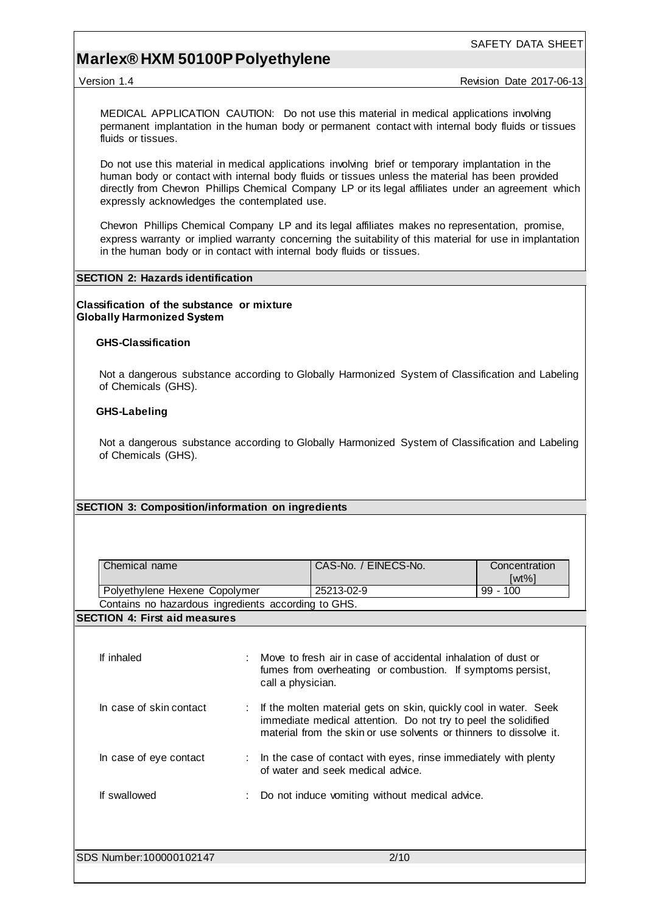MEDICAL APPLICATION CAUTION: Do not use this material in medical applications involving permanent implantation in the human body or permanent contact with internal body fluids or tissues fluids or tissues.

Do not use this material in medical applications involving brief or temporary implantation in the human body or contact with internal body fluids or tissues unless the material has been provided directly from Chevron Phillips Chemical Company LP or its legal affiliates under an agreement which expressly acknowledges the contemplated use.

Chevron Phillips Chemical Company LP and its legal affiliates makes no representation, promise, express warranty or implied warranty concerning the suitability of this material for use in implantation in the human body or in contact with internal body fluids or tissues.

#### **SECTION 2: Hazards identification**

**Classification of the substance or mixture Globally Harmonized System**

#### **GHS-Classification**

Not a dangerous substance according to Globally Harmonized System of Classification and Labeling of Chemicals (GHS).

#### **GHS-Labeling**

Not a dangerous substance according to Globally Harmonized System of Classification and Labeling of Chemicals (GHS).

#### **SECTION 3: Composition/information on ingredients**

| Chemical name                                       | CAS-No. / EINECS-No. | Concentration |
|-----------------------------------------------------|----------------------|---------------|
|                                                     |                      | [wt%]         |
| Polyethylene Hexene Copolymer                       | 25213-02-9           | $99 - 100$    |
| Contains no hazardous ingredients according to GHS. |                      |               |

#### **SECTION 4: First aid measures**

| If inhaled              | : Move to fresh air in case of accidental inhalation of dust or<br>fumes from overheating or combustion. If symptoms persist,<br>call a physician.                                                         |
|-------------------------|------------------------------------------------------------------------------------------------------------------------------------------------------------------------------------------------------------|
| In case of skin contact | : If the molten material gets on skin, quickly cool in water. Seek<br>immediate medical attention. Do not try to peel the solidified<br>material from the skin or use solvents or thinners to dissolve it. |
| In case of eye contact  | : In the case of contact with eyes, rinse immediately with plenty<br>of water and seek medical advice.                                                                                                     |
| If swallowed            | : Do not induce vomiting without medical advice.                                                                                                                                                           |
|                         |                                                                                                                                                                                                            |
| SDS Number:100000102147 | 2/10                                                                                                                                                                                                       |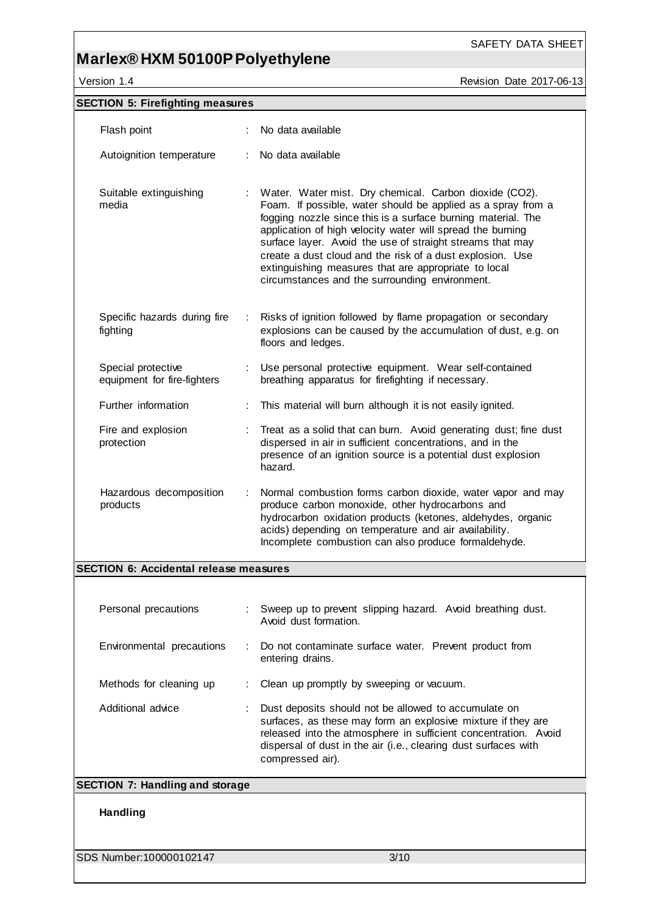Version 1.4 **Version 1.4** Revision Date 2017-06-13

SAFETY DATA SHEET

| <b>SECTION 5: Firefighting measures</b>           |                                                                                                                                                                                                                                                                                                                                                                                                                                                                                          |
|---------------------------------------------------|------------------------------------------------------------------------------------------------------------------------------------------------------------------------------------------------------------------------------------------------------------------------------------------------------------------------------------------------------------------------------------------------------------------------------------------------------------------------------------------|
| Flash point                                       | No data available                                                                                                                                                                                                                                                                                                                                                                                                                                                                        |
| Autoignition temperature                          | No data available                                                                                                                                                                                                                                                                                                                                                                                                                                                                        |
| Suitable extinguishing<br>media                   | Water. Water mist. Dry chemical. Carbon dioxide (CO2).<br>Foam. If possible, water should be applied as a spray from a<br>fogging nozzle since this is a surface burning material. The<br>application of high velocity water will spread the burning<br>surface layer. Avoid the use of straight streams that may<br>create a dust cloud and the risk of a dust explosion. Use<br>extinguishing measures that are appropriate to local<br>circumstances and the surrounding environment. |
| Specific hazards during fire<br>÷<br>fighting     | Risks of ignition followed by flame propagation or secondary<br>explosions can be caused by the accumulation of dust, e.g. on<br>floors and ledges.                                                                                                                                                                                                                                                                                                                                      |
| Special protective<br>equipment for fire-fighters | Use personal protective equipment. Wear self-contained<br>breathing apparatus for firefighting if necessary.                                                                                                                                                                                                                                                                                                                                                                             |
| Further information                               | This material will burn although it is not easily ignited.                                                                                                                                                                                                                                                                                                                                                                                                                               |
| Fire and explosion<br>protection                  | Treat as a solid that can burn. Avoid generating dust; fine dust<br>dispersed in air in sufficient concentrations, and in the<br>presence of an ignition source is a potential dust explosion<br>hazard.                                                                                                                                                                                                                                                                                 |
| Hazardous decomposition<br>products               | Normal combustion forms carbon dioxide, water vapor and may<br>produce carbon monoxide, other hydrocarbons and<br>hydrocarbon oxidation products (ketones, aldehydes, organic<br>acids) depending on temperature and air availability.<br>Incomplete combustion can also produce formaldehyde.                                                                                                                                                                                           |
| <b>SECTION 6: Accidental release measures</b>     |                                                                                                                                                                                                                                                                                                                                                                                                                                                                                          |
|                                                   |                                                                                                                                                                                                                                                                                                                                                                                                                                                                                          |
| Personal precautions                              | Sweep up to prevent slipping hazard. Avoid breathing dust.<br>Avoid dust formation.                                                                                                                                                                                                                                                                                                                                                                                                      |
| Environmental precautions                         | Do not contaminate surface water. Prevent product from<br>entering drains.                                                                                                                                                                                                                                                                                                                                                                                                               |
| Methods for cleaning up                           | Clean up promptly by sweeping or vacuum.                                                                                                                                                                                                                                                                                                                                                                                                                                                 |
| Additional advice                                 | Dust deposits should not be allowed to accumulate on<br>surfaces, as these may form an explosive mixture if they are<br>released into the atmosphere in sufficient concentration. Avoid<br>dispersal of dust in the air (i.e., clearing dust surfaces with<br>compressed air).                                                                                                                                                                                                           |
| <b>SECTION 7: Handling and storage</b>            |                                                                                                                                                                                                                                                                                                                                                                                                                                                                                          |
| <b>Handling</b>                                   |                                                                                                                                                                                                                                                                                                                                                                                                                                                                                          |
| SDS Number: 100000102147                          | 3/10                                                                                                                                                                                                                                                                                                                                                                                                                                                                                     |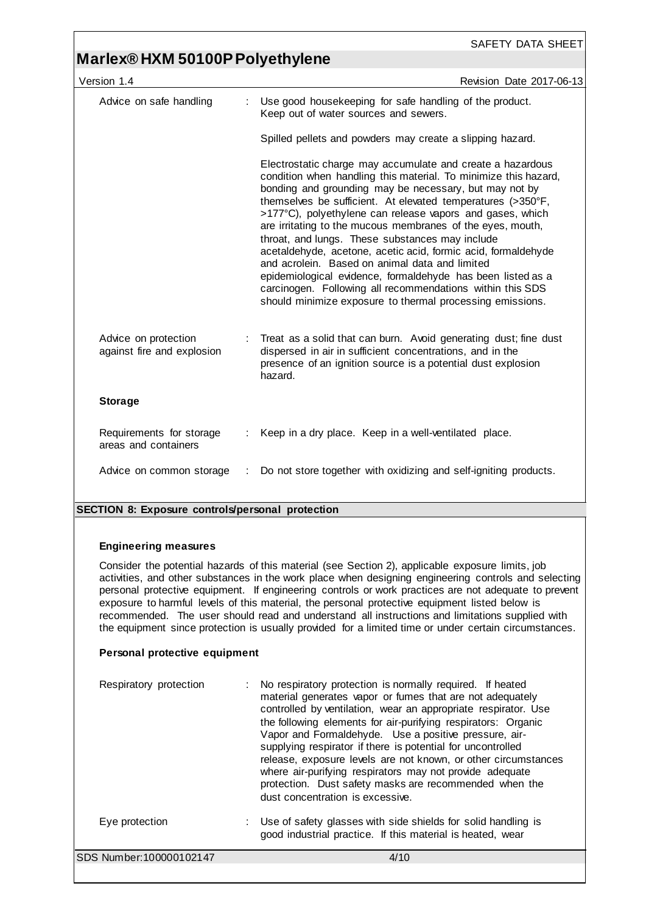### **Marlex® HXM 50100P Polyethylene**

| Version 1.4                                        |   | Revision Date 2017-06-13                                                                                                                                                                                                                                                                                                                                                                                                                                                                                                                                                                                                                                                                                                                         |
|----------------------------------------------------|---|--------------------------------------------------------------------------------------------------------------------------------------------------------------------------------------------------------------------------------------------------------------------------------------------------------------------------------------------------------------------------------------------------------------------------------------------------------------------------------------------------------------------------------------------------------------------------------------------------------------------------------------------------------------------------------------------------------------------------------------------------|
| Advice on safe handling                            | ÷ | Use good housekeeping for safe handling of the product.<br>Keep out of water sources and sewers.                                                                                                                                                                                                                                                                                                                                                                                                                                                                                                                                                                                                                                                 |
|                                                    |   | Spilled pellets and powders may create a slipping hazard.                                                                                                                                                                                                                                                                                                                                                                                                                                                                                                                                                                                                                                                                                        |
|                                                    |   | Electrostatic charge may accumulate and create a hazardous<br>condition when handling this material. To minimize this hazard,<br>bonding and grounding may be necessary, but may not by<br>themselves be sufficient. At elevated temperatures (>350°F,<br>>177°C), polyethylene can release vapors and gases, which<br>are irritating to the mucous membranes of the eyes, mouth,<br>throat, and lungs. These substances may include<br>acetaldehyde, acetone, acetic acid, formic acid, formaldehyde<br>and acrolein. Based on animal data and limited<br>epidemiological evidence, formaldehyde has been listed as a<br>carcinogen. Following all recommendations within this SDS<br>should minimize exposure to thermal processing emissions. |
| Advice on protection<br>against fire and explosion |   | Treat as a solid that can burn. Avoid generating dust; fine dust<br>dispersed in air in sufficient concentrations, and in the<br>presence of an ignition source is a potential dust explosion<br>hazard.                                                                                                                                                                                                                                                                                                                                                                                                                                                                                                                                         |
| <b>Storage</b>                                     |   |                                                                                                                                                                                                                                                                                                                                                                                                                                                                                                                                                                                                                                                                                                                                                  |
| Requirements for storage<br>areas and containers   |   | Keep in a dry place. Keep in a well-ventilated place.                                                                                                                                                                                                                                                                                                                                                                                                                                                                                                                                                                                                                                                                                            |
| Advice on common storage                           |   | Do not store together with oxidizing and self-igniting products.                                                                                                                                                                                                                                                                                                                                                                                                                                                                                                                                                                                                                                                                                 |
|                                                    |   |                                                                                                                                                                                                                                                                                                                                                                                                                                                                                                                                                                                                                                                                                                                                                  |

#### **SECTION 8: Exposure controls/personal protection**

#### **Engineering measures**

Consider the potential hazards of this material (see Section 2), applicable exposure limits, job activities, and other substances in the work place when designing engineering controls and selecting personal protective equipment. If engineering controls or work practices are not adequate to prevent exposure to harmful levels of this material, the personal protective equipment listed below is recommended. The user should read and understand all instructions and limitations supplied with the equipment since protection is usually provided for a limited time or under certain circumstances.

#### **Personal protective equipment**

| Respiratory protection   | : No respiratory protection is normally required. If heated<br>material generates vapor or fumes that are not adequately<br>controlled by ventilation, wear an appropriate respirator. Use<br>the following elements for air-purifying respirators: Organic<br>Vapor and Formaldehyde. Use a positive pressure, air-<br>supplying respirator if there is potential for uncontrolled<br>release, exposure levels are not known, or other circumstances<br>where air-purifying respirators may not provide adequate<br>protection. Dust safety masks are recommended when the<br>dust concentration is excessive. |
|--------------------------|-----------------------------------------------------------------------------------------------------------------------------------------------------------------------------------------------------------------------------------------------------------------------------------------------------------------------------------------------------------------------------------------------------------------------------------------------------------------------------------------------------------------------------------------------------------------------------------------------------------------|
| Eye protection           | : Use of safety glasses with side shields for solid handling is<br>good industrial practice. If this material is heated, wear                                                                                                                                                                                                                                                                                                                                                                                                                                                                                   |
| SDS Number: 100000102147 | 4/10                                                                                                                                                                                                                                                                                                                                                                                                                                                                                                                                                                                                            |
|                          |                                                                                                                                                                                                                                                                                                                                                                                                                                                                                                                                                                                                                 |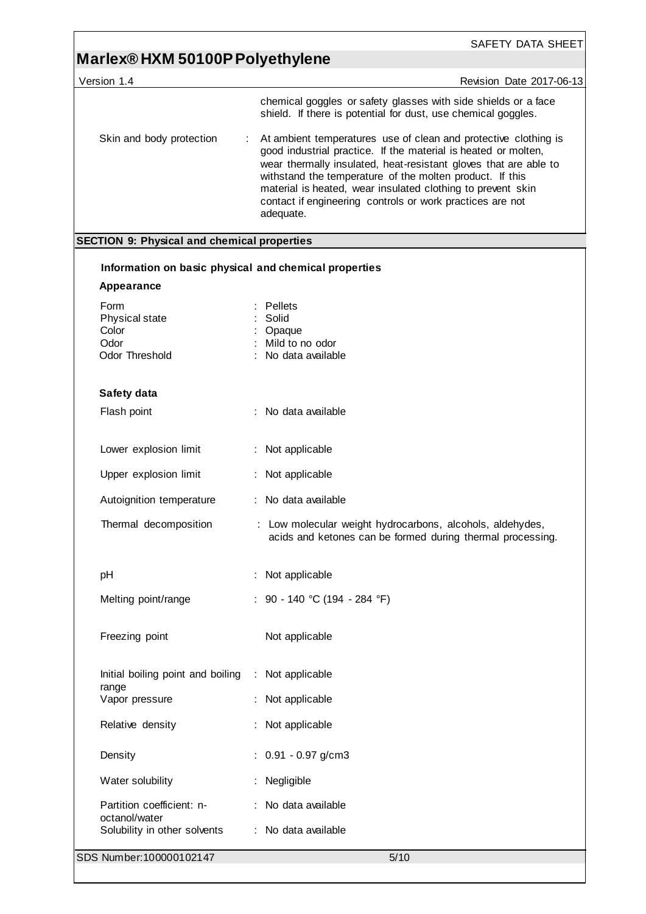| Version 1.4                                           | Revision Date 2017-06-13                                                                                                                                                                                                                                                                                                                                                                                   |
|-------------------------------------------------------|------------------------------------------------------------------------------------------------------------------------------------------------------------------------------------------------------------------------------------------------------------------------------------------------------------------------------------------------------------------------------------------------------------|
|                                                       | chemical goggles or safety glasses with side shields or a face<br>shield. If there is potential for dust, use chemical goggles.                                                                                                                                                                                                                                                                            |
| Skin and body protection                              | At ambient temperatures use of clean and protective clothing is<br>good industrial practice. If the material is heated or molten,<br>wear thermally insulated, heat-resistant gloves that are able to<br>withstand the temperature of the molten product. If this<br>material is heated, wear insulated clothing to prevent skin<br>contact if engineering controls or work practices are not<br>adequate. |
| <b>SECTION 9: Physical and chemical properties</b>    |                                                                                                                                                                                                                                                                                                                                                                                                            |
| Information on basic physical and chemical properties |                                                                                                                                                                                                                                                                                                                                                                                                            |
| Appearance                                            |                                                                                                                                                                                                                                                                                                                                                                                                            |
| Form                                                  | Pellets                                                                                                                                                                                                                                                                                                                                                                                                    |
| Physical state<br>Color                               | Solid<br>Opaque                                                                                                                                                                                                                                                                                                                                                                                            |
| Odor                                                  | Mild to no odor                                                                                                                                                                                                                                                                                                                                                                                            |
| Odor Threshold                                        | No data available                                                                                                                                                                                                                                                                                                                                                                                          |
| Safety data                                           |                                                                                                                                                                                                                                                                                                                                                                                                            |
| Flash point                                           | : No data available                                                                                                                                                                                                                                                                                                                                                                                        |
| Lower explosion limit                                 | : Not applicable                                                                                                                                                                                                                                                                                                                                                                                           |
| Upper explosion limit                                 | Not applicable                                                                                                                                                                                                                                                                                                                                                                                             |
| Autoignition temperature                              | : No data available                                                                                                                                                                                                                                                                                                                                                                                        |
| Thermal decomposition                                 | : Low molecular weight hydrocarbons, alcohols, aldehydes,<br>acids and ketones can be formed during thermal processing.                                                                                                                                                                                                                                                                                    |
| pH                                                    | Not applicable                                                                                                                                                                                                                                                                                                                                                                                             |
| Melting point/range                                   | : 90 - 140 °C (194 - 284 °F)                                                                                                                                                                                                                                                                                                                                                                               |
| Freezing point                                        | Not applicable                                                                                                                                                                                                                                                                                                                                                                                             |
| Initial boiling point and boiling                     | : Not applicable                                                                                                                                                                                                                                                                                                                                                                                           |
| range<br>Vapor pressure                               | : Not applicable                                                                                                                                                                                                                                                                                                                                                                                           |
| Relative density                                      | Not applicable                                                                                                                                                                                                                                                                                                                                                                                             |
| Density                                               | 0.91 - 0.97 g/cm3                                                                                                                                                                                                                                                                                                                                                                                          |
| Water solubility                                      | Negligible                                                                                                                                                                                                                                                                                                                                                                                                 |
| Partition coefficient: n-<br>octanol/water            | : No data available                                                                                                                                                                                                                                                                                                                                                                                        |
| Solubility in other solvents                          | : No data available                                                                                                                                                                                                                                                                                                                                                                                        |
| SDS Number: 100000102147                              | 5/10                                                                                                                                                                                                                                                                                                                                                                                                       |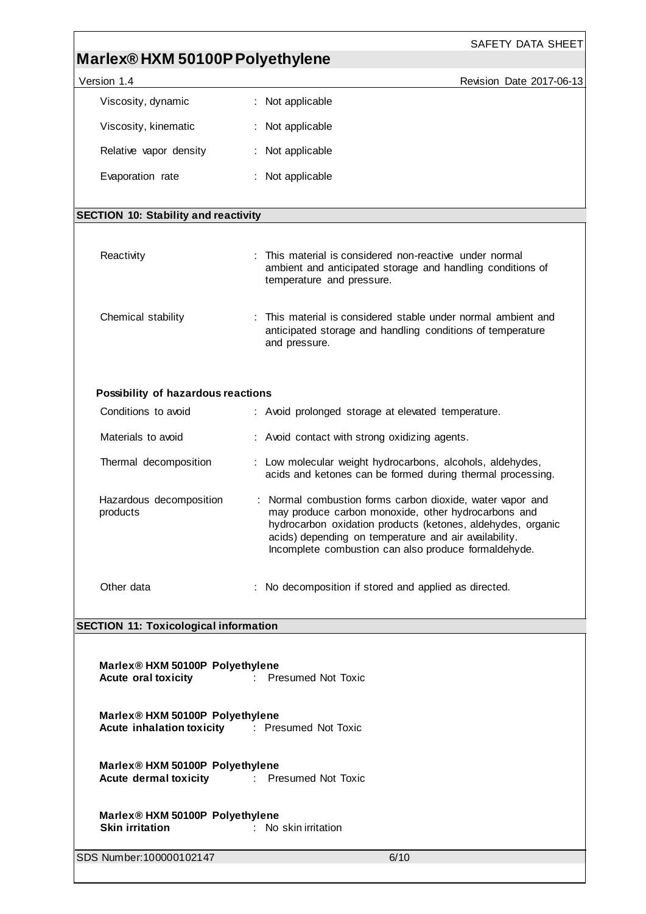| Marlex®HXM 50100P Polyethylene<br>Version 1.4<br>Revision Date 2017-06-13<br>: Not applicable<br>Viscosity, dynamic<br>Viscosity, kinematic<br>: Not applicable<br>Relative vapor density<br>: Not applicable<br>Evaporation rate<br>: Not applicable<br><b>SECTION 10: Stability and reactivity</b><br>Reactivity<br>This material is considered non-reactive under normal<br>ambient and anticipated storage and handling conditions of<br>temperature and pressure.<br>This material is considered stable under normal ambient and<br>Chemical stability<br>anticipated storage and handling conditions of temperature<br>and pressure.<br>Possibility of hazardous reactions<br>Conditions to avoid<br>: Avoid prolonged storage at elevated temperature.<br>Materials to avoid<br>: Avoid contact with strong oxidizing agents.<br>Thermal decomposition<br>: Low molecular weight hydrocarbons, alcohols, aldehydes,<br>acids and ketones can be formed during thermal processing.<br>Hazardous decomposition<br>: Normal combustion forms carbon dioxide, water vapor and<br>may produce carbon monoxide, other hydrocarbons and<br>products<br>hydrocarbon oxidation products (ketones, aldehydes, organic<br>acids) depending on temperature and air availability.<br>Incomplete combustion can also produce formaldehyde.<br>Other data<br>: No decomposition if stored and applied as directed.<br><b>SECTION 11: Toxicological information</b><br>Marlex® HXM 50100P Polyethylene<br><b>Acute oral toxicity</b><br>: Presumed Not Toxic<br>Marlex® HXM 50100P Polyethylene<br><b>Acute inhalation toxicity Figure 1: Presumed Not Toxic</b><br>Marlex® HXM 50100P Polyethylene<br><b>Acute dermal toxicity Careford Exercise Secure Acute dermal toxicity</b> Figures 2. Presumed Not Toxic<br>Marlex® HXM 50100P Polyethylene<br>: No skin irritation<br><b>Skin irritation</b><br>6/10 |                          | SAFETY DATA SHEET |  |  |
|------------------------------------------------------------------------------------------------------------------------------------------------------------------------------------------------------------------------------------------------------------------------------------------------------------------------------------------------------------------------------------------------------------------------------------------------------------------------------------------------------------------------------------------------------------------------------------------------------------------------------------------------------------------------------------------------------------------------------------------------------------------------------------------------------------------------------------------------------------------------------------------------------------------------------------------------------------------------------------------------------------------------------------------------------------------------------------------------------------------------------------------------------------------------------------------------------------------------------------------------------------------------------------------------------------------------------------------------------------------------------------------------------------------------------------------------------------------------------------------------------------------------------------------------------------------------------------------------------------------------------------------------------------------------------------------------------------------------------------------------------------------------------------------------------------------------------------------------------------------------------------------------------|--------------------------|-------------------|--|--|
|                                                                                                                                                                                                                                                                                                                                                                                                                                                                                                                                                                                                                                                                                                                                                                                                                                                                                                                                                                                                                                                                                                                                                                                                                                                                                                                                                                                                                                                                                                                                                                                                                                                                                                                                                                                                                                                                                                      |                          |                   |  |  |
|                                                                                                                                                                                                                                                                                                                                                                                                                                                                                                                                                                                                                                                                                                                                                                                                                                                                                                                                                                                                                                                                                                                                                                                                                                                                                                                                                                                                                                                                                                                                                                                                                                                                                                                                                                                                                                                                                                      |                          |                   |  |  |
|                                                                                                                                                                                                                                                                                                                                                                                                                                                                                                                                                                                                                                                                                                                                                                                                                                                                                                                                                                                                                                                                                                                                                                                                                                                                                                                                                                                                                                                                                                                                                                                                                                                                                                                                                                                                                                                                                                      |                          |                   |  |  |
|                                                                                                                                                                                                                                                                                                                                                                                                                                                                                                                                                                                                                                                                                                                                                                                                                                                                                                                                                                                                                                                                                                                                                                                                                                                                                                                                                                                                                                                                                                                                                                                                                                                                                                                                                                                                                                                                                                      |                          |                   |  |  |
|                                                                                                                                                                                                                                                                                                                                                                                                                                                                                                                                                                                                                                                                                                                                                                                                                                                                                                                                                                                                                                                                                                                                                                                                                                                                                                                                                                                                                                                                                                                                                                                                                                                                                                                                                                                                                                                                                                      |                          |                   |  |  |
|                                                                                                                                                                                                                                                                                                                                                                                                                                                                                                                                                                                                                                                                                                                                                                                                                                                                                                                                                                                                                                                                                                                                                                                                                                                                                                                                                                                                                                                                                                                                                                                                                                                                                                                                                                                                                                                                                                      |                          |                   |  |  |
|                                                                                                                                                                                                                                                                                                                                                                                                                                                                                                                                                                                                                                                                                                                                                                                                                                                                                                                                                                                                                                                                                                                                                                                                                                                                                                                                                                                                                                                                                                                                                                                                                                                                                                                                                                                                                                                                                                      |                          |                   |  |  |
|                                                                                                                                                                                                                                                                                                                                                                                                                                                                                                                                                                                                                                                                                                                                                                                                                                                                                                                                                                                                                                                                                                                                                                                                                                                                                                                                                                                                                                                                                                                                                                                                                                                                                                                                                                                                                                                                                                      |                          |                   |  |  |
|                                                                                                                                                                                                                                                                                                                                                                                                                                                                                                                                                                                                                                                                                                                                                                                                                                                                                                                                                                                                                                                                                                                                                                                                                                                                                                                                                                                                                                                                                                                                                                                                                                                                                                                                                                                                                                                                                                      |                          |                   |  |  |
|                                                                                                                                                                                                                                                                                                                                                                                                                                                                                                                                                                                                                                                                                                                                                                                                                                                                                                                                                                                                                                                                                                                                                                                                                                                                                                                                                                                                                                                                                                                                                                                                                                                                                                                                                                                                                                                                                                      |                          |                   |  |  |
|                                                                                                                                                                                                                                                                                                                                                                                                                                                                                                                                                                                                                                                                                                                                                                                                                                                                                                                                                                                                                                                                                                                                                                                                                                                                                                                                                                                                                                                                                                                                                                                                                                                                                                                                                                                                                                                                                                      |                          |                   |  |  |
|                                                                                                                                                                                                                                                                                                                                                                                                                                                                                                                                                                                                                                                                                                                                                                                                                                                                                                                                                                                                                                                                                                                                                                                                                                                                                                                                                                                                                                                                                                                                                                                                                                                                                                                                                                                                                                                                                                      |                          |                   |  |  |
|                                                                                                                                                                                                                                                                                                                                                                                                                                                                                                                                                                                                                                                                                                                                                                                                                                                                                                                                                                                                                                                                                                                                                                                                                                                                                                                                                                                                                                                                                                                                                                                                                                                                                                                                                                                                                                                                                                      |                          |                   |  |  |
|                                                                                                                                                                                                                                                                                                                                                                                                                                                                                                                                                                                                                                                                                                                                                                                                                                                                                                                                                                                                                                                                                                                                                                                                                                                                                                                                                                                                                                                                                                                                                                                                                                                                                                                                                                                                                                                                                                      |                          |                   |  |  |
|                                                                                                                                                                                                                                                                                                                                                                                                                                                                                                                                                                                                                                                                                                                                                                                                                                                                                                                                                                                                                                                                                                                                                                                                                                                                                                                                                                                                                                                                                                                                                                                                                                                                                                                                                                                                                                                                                                      |                          |                   |  |  |
|                                                                                                                                                                                                                                                                                                                                                                                                                                                                                                                                                                                                                                                                                                                                                                                                                                                                                                                                                                                                                                                                                                                                                                                                                                                                                                                                                                                                                                                                                                                                                                                                                                                                                                                                                                                                                                                                                                      |                          |                   |  |  |
|                                                                                                                                                                                                                                                                                                                                                                                                                                                                                                                                                                                                                                                                                                                                                                                                                                                                                                                                                                                                                                                                                                                                                                                                                                                                                                                                                                                                                                                                                                                                                                                                                                                                                                                                                                                                                                                                                                      |                          |                   |  |  |
|                                                                                                                                                                                                                                                                                                                                                                                                                                                                                                                                                                                                                                                                                                                                                                                                                                                                                                                                                                                                                                                                                                                                                                                                                                                                                                                                                                                                                                                                                                                                                                                                                                                                                                                                                                                                                                                                                                      |                          |                   |  |  |
|                                                                                                                                                                                                                                                                                                                                                                                                                                                                                                                                                                                                                                                                                                                                                                                                                                                                                                                                                                                                                                                                                                                                                                                                                                                                                                                                                                                                                                                                                                                                                                                                                                                                                                                                                                                                                                                                                                      |                          |                   |  |  |
|                                                                                                                                                                                                                                                                                                                                                                                                                                                                                                                                                                                                                                                                                                                                                                                                                                                                                                                                                                                                                                                                                                                                                                                                                                                                                                                                                                                                                                                                                                                                                                                                                                                                                                                                                                                                                                                                                                      |                          |                   |  |  |
|                                                                                                                                                                                                                                                                                                                                                                                                                                                                                                                                                                                                                                                                                                                                                                                                                                                                                                                                                                                                                                                                                                                                                                                                                                                                                                                                                                                                                                                                                                                                                                                                                                                                                                                                                                                                                                                                                                      |                          |                   |  |  |
|                                                                                                                                                                                                                                                                                                                                                                                                                                                                                                                                                                                                                                                                                                                                                                                                                                                                                                                                                                                                                                                                                                                                                                                                                                                                                                                                                                                                                                                                                                                                                                                                                                                                                                                                                                                                                                                                                                      |                          |                   |  |  |
|                                                                                                                                                                                                                                                                                                                                                                                                                                                                                                                                                                                                                                                                                                                                                                                                                                                                                                                                                                                                                                                                                                                                                                                                                                                                                                                                                                                                                                                                                                                                                                                                                                                                                                                                                                                                                                                                                                      | SDS Number: 100000102147 |                   |  |  |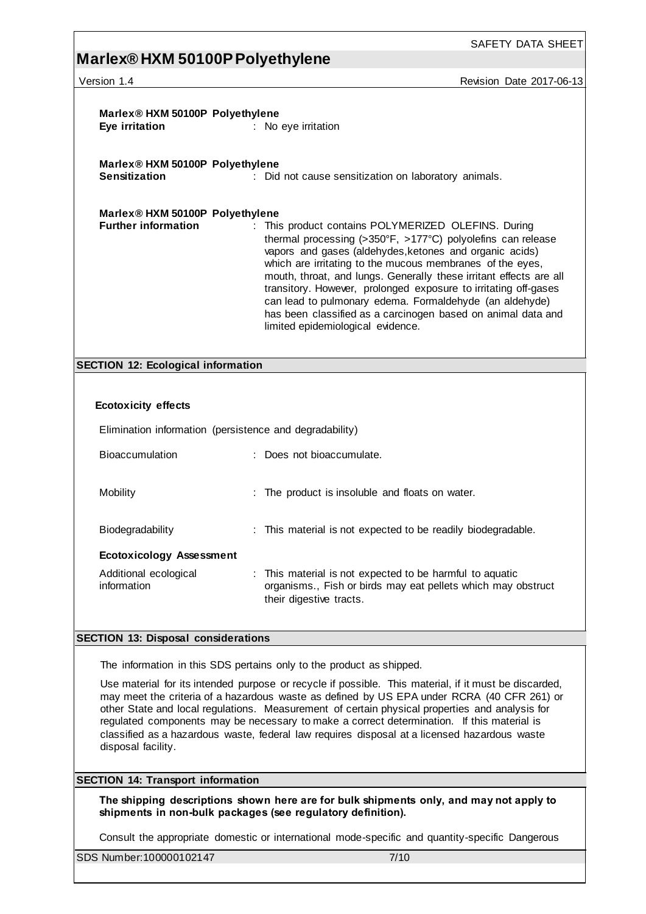Version 1.4 **Version 1.4** Revision Date 2017-06-13

| Marlex® HXM 50100P Polyethylene<br>Eye irritation                                                                                                                                                                                                                                                                                                                                                                                                                                                                         | : No eye irritation                                                                                                                                                                                                                                                                                                                                                                                                                                                                                                                                                 |  |  |
|---------------------------------------------------------------------------------------------------------------------------------------------------------------------------------------------------------------------------------------------------------------------------------------------------------------------------------------------------------------------------------------------------------------------------------------------------------------------------------------------------------------------------|---------------------------------------------------------------------------------------------------------------------------------------------------------------------------------------------------------------------------------------------------------------------------------------------------------------------------------------------------------------------------------------------------------------------------------------------------------------------------------------------------------------------------------------------------------------------|--|--|
| Marlex® HXM 50100P Polyethylene<br><b>Sensitization</b>                                                                                                                                                                                                                                                                                                                                                                                                                                                                   | : Did not cause sensitization on laboratory animals.                                                                                                                                                                                                                                                                                                                                                                                                                                                                                                                |  |  |
| Marlex® HXM 50100P Polyethylene<br><b>Further information</b>                                                                                                                                                                                                                                                                                                                                                                                                                                                             | : This product contains POLYMERIZED OLEFINS. During<br>thermal processing $(>350^{\circ}F, >177^{\circ}C)$ polyolefins can release<br>vapors and gases (aldehydes, ketones and organic acids)<br>which are irritating to the mucous membranes of the eyes,<br>mouth, throat, and lungs. Generally these irritant effects are all<br>transitory. However, prolonged exposure to irritating off-gases<br>can lead to pulmonary edema. Formaldehyde (an aldehyde)<br>has been classified as a carcinogen based on animal data and<br>limited epidemiological evidence. |  |  |
| <b>SECTION 12: Ecological information</b>                                                                                                                                                                                                                                                                                                                                                                                                                                                                                 |                                                                                                                                                                                                                                                                                                                                                                                                                                                                                                                                                                     |  |  |
|                                                                                                                                                                                                                                                                                                                                                                                                                                                                                                                           |                                                                                                                                                                                                                                                                                                                                                                                                                                                                                                                                                                     |  |  |
| <b>Ecotoxicity effects</b>                                                                                                                                                                                                                                                                                                                                                                                                                                                                                                |                                                                                                                                                                                                                                                                                                                                                                                                                                                                                                                                                                     |  |  |
|                                                                                                                                                                                                                                                                                                                                                                                                                                                                                                                           | Elimination information (persistence and degradability)                                                                                                                                                                                                                                                                                                                                                                                                                                                                                                             |  |  |
| <b>Bioaccumulation</b>                                                                                                                                                                                                                                                                                                                                                                                                                                                                                                    | : Does not bioaccumulate.                                                                                                                                                                                                                                                                                                                                                                                                                                                                                                                                           |  |  |
| Mobility                                                                                                                                                                                                                                                                                                                                                                                                                                                                                                                  | : The product is insoluble and floats on water.                                                                                                                                                                                                                                                                                                                                                                                                                                                                                                                     |  |  |
| Biodegradability                                                                                                                                                                                                                                                                                                                                                                                                                                                                                                          | : This material is not expected to be readily biodegradable.                                                                                                                                                                                                                                                                                                                                                                                                                                                                                                        |  |  |
| <b>Ecotoxicology Assessment</b>                                                                                                                                                                                                                                                                                                                                                                                                                                                                                           |                                                                                                                                                                                                                                                                                                                                                                                                                                                                                                                                                                     |  |  |
| Additional ecological<br>information                                                                                                                                                                                                                                                                                                                                                                                                                                                                                      | : This material is not expected to be harmful to aquatic<br>organisms., Fish or birds may eat pellets which may obstruct<br>their digestive tracts.                                                                                                                                                                                                                                                                                                                                                                                                                 |  |  |
| <b>SECTION 13: Disposal considerations</b>                                                                                                                                                                                                                                                                                                                                                                                                                                                                                |                                                                                                                                                                                                                                                                                                                                                                                                                                                                                                                                                                     |  |  |
| The information in this SDS pertains only to the product as shipped.                                                                                                                                                                                                                                                                                                                                                                                                                                                      |                                                                                                                                                                                                                                                                                                                                                                                                                                                                                                                                                                     |  |  |
| Use material for its intended purpose or recycle if possible. This material, if it must be discarded,<br>may meet the criteria of a hazardous waste as defined by US EPA under RCRA (40 CFR 261) or<br>other State and local regulations. Measurement of certain physical properties and analysis for<br>regulated components may be necessary to make a correct determination. If this material is<br>classified as a hazardous waste, federal law requires disposal at a licensed hazardous waste<br>disposal facility. |                                                                                                                                                                                                                                                                                                                                                                                                                                                                                                                                                                     |  |  |

**SECTION 14: Transport information**

**The shipping descriptions shown here are for bulk shipments only, and may not apply to shipments in non-bulk packages (see regulatory definition).**

Consult the appropriate domestic or international mode-specific and quantity-specific Dangerous

SDS Number:100000102147 7/10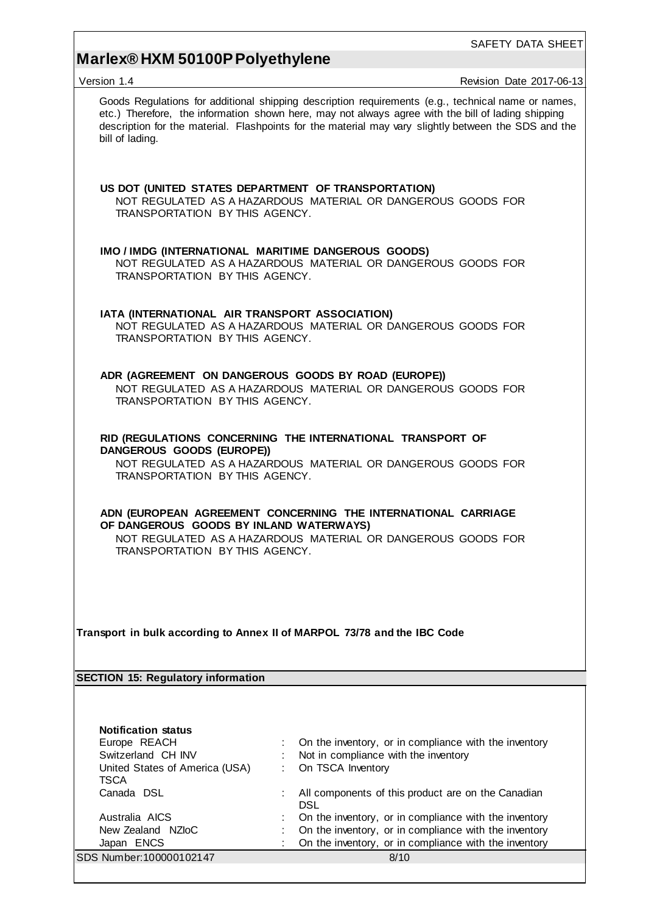# **Marlex® HXM 50100P Polyethylene**

| Version 1.4                                                                                                                                                                                                | Revision Date 2017-06-13                                                                                                                                                                                                                                                                                         |  |  |
|------------------------------------------------------------------------------------------------------------------------------------------------------------------------------------------------------------|------------------------------------------------------------------------------------------------------------------------------------------------------------------------------------------------------------------------------------------------------------------------------------------------------------------|--|--|
| bill of lading.                                                                                                                                                                                            | Goods Regulations for additional shipping description requirements (e.g., technical name or names,<br>etc.) Therefore, the information shown here, may not always agree with the bill of lading shipping<br>description for the material. Flashpoints for the material may vary slightly between the SDS and the |  |  |
| US DOT (UNITED STATES DEPARTMENT OF TRANSPORTATION)<br>TRANSPORTATION BY THIS AGENCY.                                                                                                                      | NOT REGULATED AS A HAZARDOUS MATERIAL OR DANGEROUS GOODS FOR                                                                                                                                                                                                                                                     |  |  |
| IMO / IMDG (INTERNATIONAL MARITIME DANGEROUS GOODS)<br>TRANSPORTATION BY THIS AGENCY.                                                                                                                      | NOT REGULATED AS A HAZARDOUS MATERIAL OR DANGEROUS GOODS FOR                                                                                                                                                                                                                                                     |  |  |
| IATA (INTERNATIONAL AIR TRANSPORT ASSOCIATION)<br>TRANSPORTATION BY THIS AGENCY.                                                                                                                           | NOT REGULATED AS A HAZARDOUS MATERIAL OR DANGEROUS GOODS FOR                                                                                                                                                                                                                                                     |  |  |
| ADR (AGREEMENT ON DANGEROUS GOODS BY ROAD (EUROPE))<br>TRANSPORTATION BY THIS AGENCY.                                                                                                                      | NOT REGULATED AS A HAZARDOUS MATERIAL OR DANGEROUS GOODS FOR                                                                                                                                                                                                                                                     |  |  |
| RID (REGULATIONS CONCERNING THE INTERNATIONAL TRANSPORT OF<br>DANGEROUS GOODS (EUROPE))<br>NOT REGULATED AS A HAZARDOUS MATERIAL OR DANGEROUS GOODS FOR<br>TRANSPORTATION BY THIS AGENCY.                  |                                                                                                                                                                                                                                                                                                                  |  |  |
| ADN (EUROPEAN AGREEMENT CONCERNING THE INTERNATIONAL CARRIAGE<br>OF DANGEROUS GOODS BY INLAND WATERWAYS)<br>NOT REGULATED AS A HAZARDOUS MATERIAL OR DANGEROUS GOODS FOR<br>TRANSPORTATION BY THIS AGENCY. |                                                                                                                                                                                                                                                                                                                  |  |  |
| Transport in bulk according to Annex II of MARPOL 73/78 and the IBC Code                                                                                                                                   |                                                                                                                                                                                                                                                                                                                  |  |  |
| <b>SECTION 15: Regulatory information</b>                                                                                                                                                                  |                                                                                                                                                                                                                                                                                                                  |  |  |
|                                                                                                                                                                                                            |                                                                                                                                                                                                                                                                                                                  |  |  |
| <b>Notification status</b>                                                                                                                                                                                 |                                                                                                                                                                                                                                                                                                                  |  |  |
| Europe REACH                                                                                                                                                                                               | On the inventory, or in compliance with the inventory                                                                                                                                                                                                                                                            |  |  |
| Switzerland CH INV                                                                                                                                                                                         | Not in compliance with the inventory                                                                                                                                                                                                                                                                             |  |  |
| United States of America (USA)                                                                                                                                                                             | On TSCA Inventory                                                                                                                                                                                                                                                                                                |  |  |
| <b>TSCA</b><br>Canada DSL                                                                                                                                                                                  | All components of this product are on the Canadian                                                                                                                                                                                                                                                               |  |  |
|                                                                                                                                                                                                            | <b>DSL</b>                                                                                                                                                                                                                                                                                                       |  |  |
| Australia AICS                                                                                                                                                                                             | On the inventory, or in compliance with the inventory                                                                                                                                                                                                                                                            |  |  |
| New Zealand NZIoC                                                                                                                                                                                          | On the inventory, or in compliance with the inventory                                                                                                                                                                                                                                                            |  |  |
| Japan ENCS                                                                                                                                                                                                 | On the inventory, or in compliance with the inventory                                                                                                                                                                                                                                                            |  |  |
| SDS Number: 100000102147                                                                                                                                                                                   | 8/10                                                                                                                                                                                                                                                                                                             |  |  |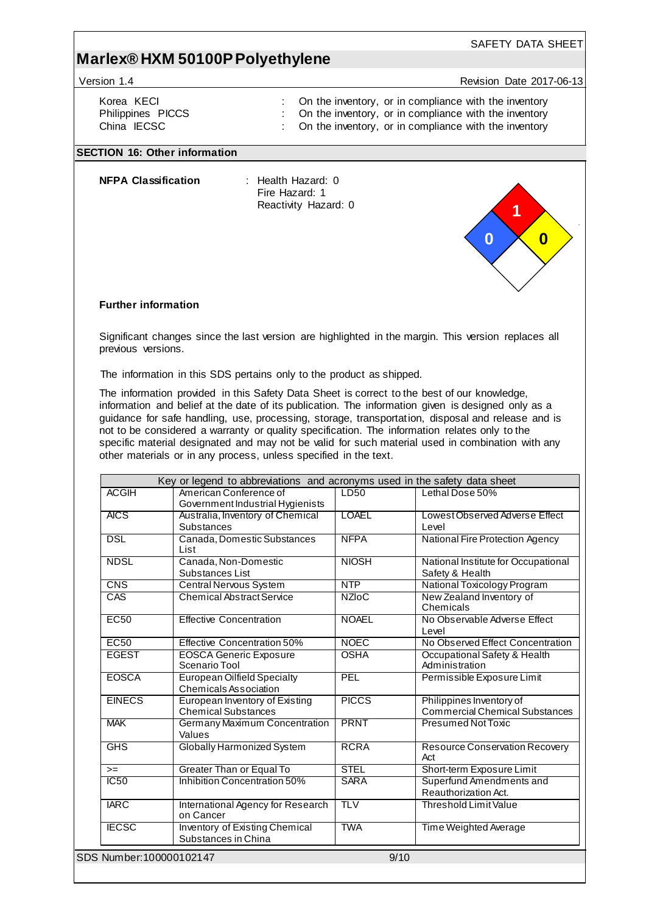Version 1.4 **News** President 2017-06-13

SAFETY DATA SHEET

Korea KECI : On the inventory, or in compliance with the inventory<br>Philippines PICCS : On the inventory, or in compliance with the inventory

- Philippines PICCS : On the inventory, or in compliance with the inventory<br>
China IECSC : On the inventory, or in compliance with the inventory : On the inventory, or in compliance with the inventory
	-

#### **SECTION 16: Other information**

**NFPA Classification** : Health Hazard: 0

Fire Hazard: 1 Reactivity Hazard: 0

#### **Further information**

Significant changes since the last version are highlighted in the margin. This version replaces all previous versions.

The information in this SDS pertains only to the product as shipped.

The information provided in this Safety Data Sheet is correct to the best of our knowledge, information and belief at the date of its publication. The information given is designed only as a guidance for safe handling, use, processing, storage, transportation, disposal and release and is not to be considered a warranty or quality specification. The information relates only to the specific material designated and may not be valid for such material used in combination with any other materials or in any process, unless specified in the text.

| <b>ACGIH</b>             | American Conference of                                             | LD50         | Lethal Dose 50%                                                   |
|--------------------------|--------------------------------------------------------------------|--------------|-------------------------------------------------------------------|
|                          | Government Industrial Hygienists                                   |              |                                                                   |
| <b>AICS</b>              | Australia, Inventory of Chemical                                   | LOAEL        | Lowest Observed Adverse Effect                                    |
|                          | <b>Substances</b>                                                  |              | Level                                                             |
| <b>DSL</b>               | Canada, Domestic Substances<br>List                                | <b>NFPA</b>  | National Fire Protection Agency                                   |
| <b>NDSL</b>              | Canada, Non-Domestic<br>Substances List                            | <b>NIOSH</b> | National Institute for Occupational<br>Safety & Health            |
| <b>CNS</b>               | Central Nervous System                                             | <b>NTP</b>   | National Toxicology Program                                       |
| CAS                      | <b>Chemical Abstract Service</b>                                   | <b>NZIOC</b> | New Zealand Inventory of<br>Chemicals                             |
| <b>EC50</b>              | <b>Effective Concentration</b>                                     | <b>NOAEL</b> | No Observable Adverse Effect<br>Level                             |
| <b>EC50</b>              | Effective Concentration 50%                                        | <b>NOEC</b>  | No Observed Effect Concentration                                  |
| <b>EGEST</b>             | <b>EOSCA Generic Exposure</b><br>Scenario Tool                     | <b>OSHA</b>  | Occupational Safety & Health<br>Administration                    |
| <b>EOSCA</b>             | <b>European Oilfield Specialty</b><br><b>Chemicals Association</b> | PEL          | Permissible Exposure Limit                                        |
| <b>EINECS</b>            | European Inventory of Existing<br><b>Chemical Substances</b>       | <b>PICCS</b> | Philippines Inventory of<br><b>Commercial Chemical Substances</b> |
| <b>MAK</b>               | Germany Maximum Concentration<br>Values                            | <b>PRNT</b>  | Presumed Not Toxic                                                |
| GHS                      | Globally Harmonized System                                         | <b>RCRA</b>  | <b>Resource Conservation Recovery</b><br>Act                      |
| $=$                      | <b>Greater Than or Equal To</b>                                    | <b>STEL</b>  | Short-term Exposure Limit                                         |
| <b>IC50</b>              | Inhibition Concentration 50%                                       | <b>SARA</b>  | Superfund Amendments and<br>Reauthorization Act.                  |
| <b>IARC</b>              | International Agency for Research<br>on Cancer                     | <b>TLV</b>   | Threshold Limit Value                                             |
| <b>IECSC</b>             | <b>Inventory of Existing Chemical</b><br>Substances in China       | <b>TWA</b>   | Time Weighted Average                                             |
| SDS Number: 100000102147 |                                                                    |              | 9/10                                                              |